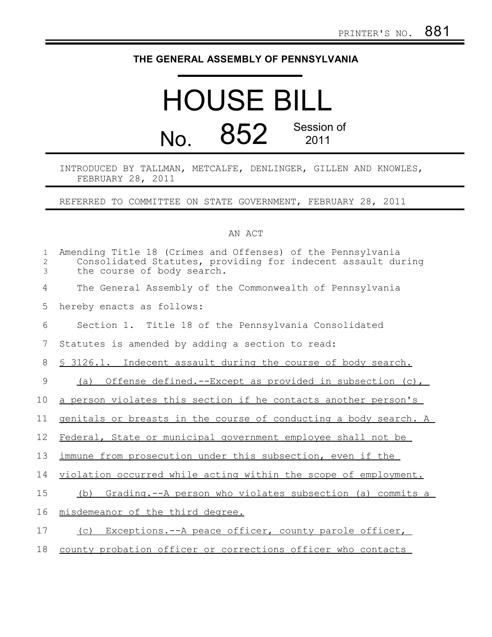## **THE GENERAL ASSEMBLY OF PENNSYLVANIA**

## HOUSE BILL No. 852 Session of 2011

## INTRODUCED BY TALLMAN, METCALFE, DENLINGER, GILLEN AND KNOWLES, FEBRUARY 28, 2011

REFERRED TO COMMITTEE ON STATE GOVERNMENT, FEBRUARY 28, 2011

## AN ACT

| $\mathbf{1}$<br>$\mathbf{2}$<br>3 | Amending Title 18 (Crimes and Offenses) of the Pennsylvania<br>Consolidated Statutes, providing for indecent assault during<br>the course of body search. |
|-----------------------------------|-----------------------------------------------------------------------------------------------------------------------------------------------------------|
| 4                                 | The General Assembly of the Commonwealth of Pennsylvania                                                                                                  |
| 5                                 | hereby enacts as follows:                                                                                                                                 |
| 6                                 | Section 1. Title 18 of the Pennsylvania Consolidated                                                                                                      |
| 7                                 | Statutes is amended by adding a section to read:                                                                                                          |
| 8                                 | \$ 3126.1. Indecent assault during the course of body search.                                                                                             |
| 9                                 | Offense defined.--Except as provided in subsection (c),<br>(a)                                                                                            |
| 10                                | a person violates this section if he contacts another person's                                                                                            |
| 11                                | genitals or breasts in the course of conducting a body search. A                                                                                          |
| 12                                | Federal, State or municipal government employee shall not be                                                                                              |
| 13                                | immune from prosecution under this subsection, even if the                                                                                                |
| 14                                | violation occurred while acting within the scope of employment.                                                                                           |
| 15                                | Grading.--A person who violates subsection (a) commits a<br>(b)                                                                                           |
| 16                                | misdemeanor of the third degree.                                                                                                                          |
| 17                                | Exceptions.--A peace officer, county parole officer,<br>(C)                                                                                               |
| 18                                | county probation officer or corrections officer who contacts                                                                                              |